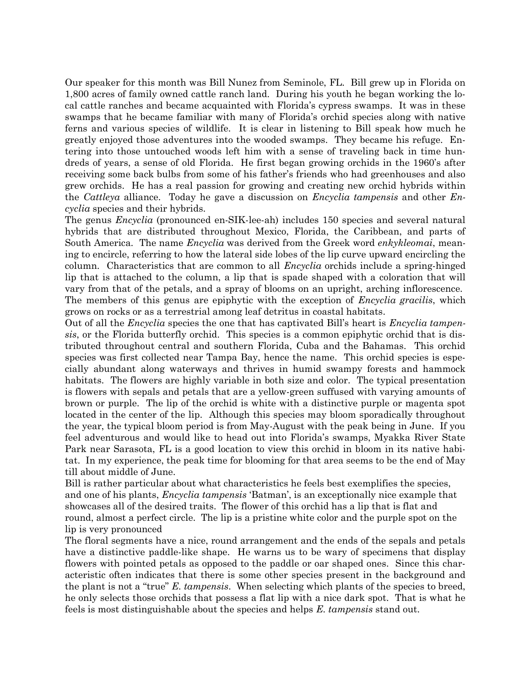Our speaker for this month was Bill Nunez from Seminole, FL. Bill grew up in Florida on 1,800 acres of family owned cattle ranch land. During his youth he began working the local cattle ranches and became acquainted with Florida's cypress swamps. It was in these swamps that he became familiar with many of Florida's orchid species along with native ferns and various species of wildlife. It is clear in listening to Bill speak how much he greatly enjoyed those adventures into the wooded swamps. They became his refuge. Entering into those untouched woods left him with a sense of traveling back in time hundreds of years, a sense of old Florida. He first began growing orchids in the 1960's after receiving some back bulbs from some of his father's friends who had greenhouses and also grew orchids. He has a real passion for growing and creating new orchid hybrids within the Cattleya alliance. Today he gave a discussion on *Encyclia tampensis* and other *En*cyclia species and their hybrids.

The genus Encyclia (pronounced en-SIK-lee-ah) includes 150 species and several natural hybrids that are distributed throughout Mexico, Florida, the Caribbean, and parts of South America. The name *Encyclia* was derived from the Greek word *enkykleomai*, meaning to encircle, referring to how the lateral side lobes of the lip curve upward encircling the column. Characteristics that are common to all *Encyclia* orchids include a spring-hinged lip that is attached to the column, a lip that is spade shaped with a coloration that will vary from that of the petals, and a spray of blooms on an upright, arching inflorescence. The members of this genus are epiphytic with the exception of *Encyclia gracilis*, which grows on rocks or as a terrestrial among leaf detritus in coastal habitats.

Out of all the *Encyclia* species the one that has captivated Bill's heart is *Encyclia tampen*sis, or the Florida butterfly orchid. This species is a common epiphytic orchid that is distributed throughout central and southern Florida, Cuba and the Bahamas. This orchid species was first collected near Tampa Bay, hence the name. This orchid species is especially abundant along waterways and thrives in humid swampy forests and hammock habitats. The flowers are highly variable in both size and color. The typical presentation is flowers with sepals and petals that are a yellow-green suffused with varying amounts of brown or purple. The lip of the orchid is white with a distinctive purple or magenta spot located in the center of the lip. Although this species may bloom sporadically throughout the year, the typical bloom period is from May-August with the peak being in June. If you feel adventurous and would like to head out into Florida's swamps, Myakka River State Park near Sarasota, FL is a good location to view this orchid in bloom in its native habitat. In my experience, the peak time for blooming for that area seems to be the end of May till about middle of June.

Bill is rather particular about what characteristics he feels best exemplifies the species, and one of his plants, *Encyclia tampensis* 'Batman', is an exceptionally nice example that showcases all of the desired traits. The flower of this orchid has a lip that is flat and round, almost a perfect circle. The lip is a pristine white color and the purple spot on the lip is very pronounced

The floral segments have a nice, round arrangement and the ends of the sepals and petals have a distinctive paddle-like shape. He warns us to be wary of specimens that display flowers with pointed petals as opposed to the paddle or oar shaped ones. Since this characteristic often indicates that there is some other species present in the background and the plant is not a "true" E. tampensis. When selecting which plants of the species to breed, he only selects those orchids that possess a flat lip with a nice dark spot. That is what he feels is most distinguishable about the species and helps E. tampensis stand out.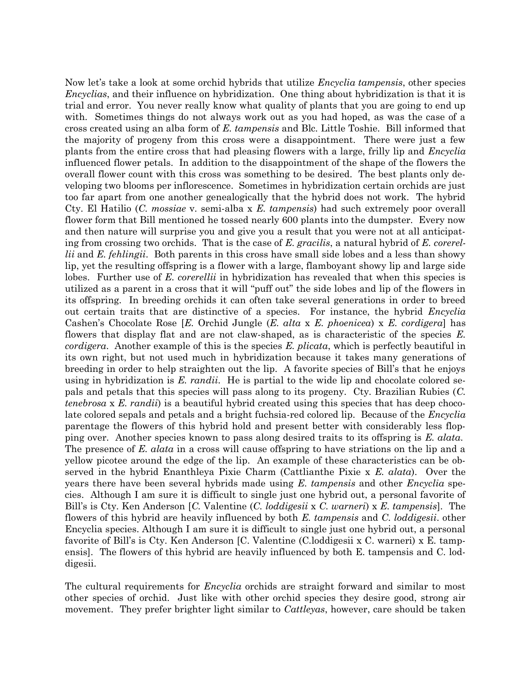Now let's take a look at some orchid hybrids that utilize *Encyclia tampensis*, other species Encyclias, and their influence on hybridization. One thing about hybridization is that it is trial and error. You never really know what quality of plants that you are going to end up with. Sometimes things do not always work out as you had hoped, as was the case of a cross created using an alba form of E. tampensis and Blc. Little Toshie. Bill informed that the majority of progeny from this cross were a disappointment. There were just a few plants from the entire cross that had pleasing flowers with a large, frilly lip and Encyclia influenced flower petals. In addition to the disappointment of the shape of the flowers the overall flower count with this cross was something to be desired. The best plants only developing two blooms per inflorescence. Sometimes in hybridization certain orchids are just too far apart from one another genealogically that the hybrid does not work. The hybrid Cty. El Hatilio  $(C. \text{ mosaic } v. \text{ semi-alba } x. E. \text{ tampensis} )$  had such extremely poor overall flower form that Bill mentioned he tossed nearly 600 plants into the dumpster. Every now and then nature will surprise you and give you a result that you were not at all anticipating from crossing two orchids. That is the case of E. gracilis, a natural hybrid of E. corerellii and E. fehlingii. Both parents in this cross have small side lobes and a less than showy lip, yet the resulting offspring is a flower with a large, flamboyant showy lip and large side lobes. Further use of E. corerellii in hybridization has revealed that when this species is utilized as a parent in a cross that it will "puff out" the side lobes and lip of the flowers in its offspring. In breeding orchids it can often take several generations in order to breed out certain traits that are distinctive of a species. For instance, the hybrid Encyclia Cashen's Chocolate Rose [E. Orchid Jungle  $(E. \text{ alta } x, E. \text{ phonicea}) \times E. \text{ cordigera}$ ] has flowers that display flat and are not claw-shaped, as is characteristic of the species E. cordigera. Another example of this is the species E. plicata, which is perfectly beautiful in its own right, but not used much in hybridization because it takes many generations of breeding in order to help straighten out the lip. A favorite species of Bill's that he enjoys using in hybridization is  $E.$  randii. He is partial to the wide lip and chocolate colored sepals and petals that this species will pass along to its progeny. Cty. Brazilian Rubies (C. tenebrosa x E. randii) is a beautiful hybrid created using this species that has deep chocolate colored sepals and petals and a bright fuchsia-red colored lip. Because of the *Encyclia* parentage the flowers of this hybrid hold and present better with considerably less flopping over. Another species known to pass along desired traits to its offspring is E. alata. The presence of E. alata in a cross will cause offspring to have striations on the lip and a yellow picotee around the edge of the lip. An example of these characteristics can be observed in the hybrid Enanthleya Pixie Charm (Cattlianthe Pixie x E. alata). Over the years there have been several hybrids made using  $E$ . tampensis and other Encyclia species. Although I am sure it is difficult to single just one hybrid out, a personal favorite of Bill's is Cty. Ken Anderson [C. Valentine (C. *loddigesii* x C. warneri) x E. tampensis]. The flowers of this hybrid are heavily influenced by both E. tampensis and C. loddigesii. other Encyclia species. Although I am sure it is difficult to single just one hybrid out, a personal favorite of Bill's is Cty. Ken Anderson [C. Valentine (C.loddigesii x C. warneri) x E. tampensis]. The flowers of this hybrid are heavily influenced by both E. tampensis and C. loddigesii.

The cultural requirements for *Encyclia* orchids are straight forward and similar to most other species of orchid. Just like with other orchid species they desire good, strong air movement. They prefer brighter light similar to Cattleyas, however, care should be taken